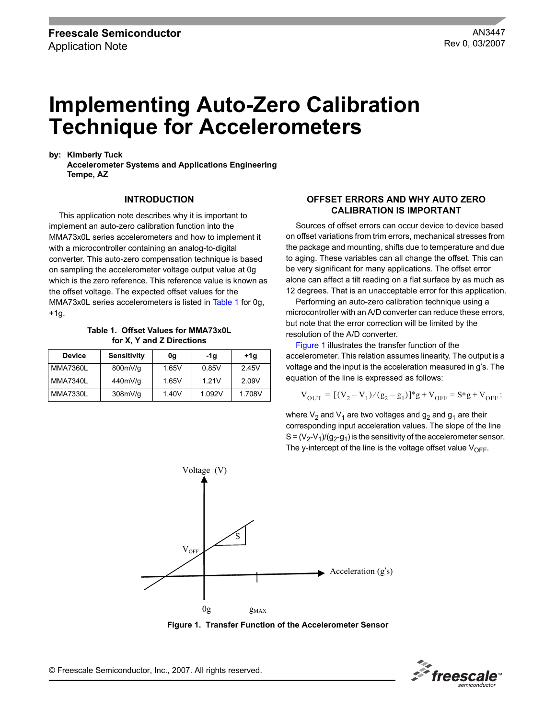# **Implementing Auto-Zero Calibration Technique for Accelerometers**

**by: Kimberly Tuck**

**Accelerometer Systems and Applications Engineering Tempe, AZ**

#### **INTRODUCTION**

This application note describes why it is important to implement an auto-zero calibration function into the MMA73x0L series accelerometers and how to implement it with a microcontroller containing an analog-to-digital converter. This auto-zero compensation technique is based on sampling the accelerometer voltage output value at 0g which is the zero reference. This reference value is known as the offset voltage. The expected offset values for the MMA73x0L series accelerometers is listed in [Table](#page-0-0) 1 for 0g, +1g.

**Table 1. Offset Values for MMA73x0L for X, Y and Z Directions**

<span id="page-0-0"></span>

| <b>Device</b> | <b>Sensitivity</b> | 0g    | -1g    | +1g   | accelerometer. This relation assumes linearity. The output is                              |
|---------------|--------------------|-------|--------|-------|--------------------------------------------------------------------------------------------|
| MMA7360L      | 800mV/g            | .65V  | 0.85V  | 2.45V | voltage and the input is the acceleration measured in g's. The                             |
| MMA7340L      | 440mV/g            | 1.65V | 1.21V  | 2.09V | equation of the line is expressed as follows:                                              |
| MMA7330L      | 308mV/q            | 1.40V | 1.092V | .708V | $V_{\text{OUT}} = [(V_2 - V_1)/(g_2 - g_1)]^* g + V_{\text{OFF}} = S^* g + V_{\text{OFF}}$ |

#### **OFFSET ERRORS AND WHY AUTO ZERO CALIBRATION IS IMPORTANT**

Sources of offset errors can occur device to device based on offset variations from trim errors, mechanical stresses from the package and mounting, shifts due to temperature and due to aging. These variables can all change the offset. This can be very significant for many applications. The offset error alone can affect a tilt reading on a flat surface by as much as 12 degrees. That is an unacceptable error for this application.

Performing an auto-zero calibration technique using a microcontroller with an A/D converter can reduce these errors, but note that the error correction will be limited by the resolution of the A/D converter.

[Figure](#page-0-1) 1 illustrates the transfer function of the accelerometer. This relation assumes linearity. The output is a voltage and the input is the acceleration measured in g's. The equation of the line is expressed as follows:

$$
V_{OUT} = [(V_2 - V_1)/(g_2 - g_1)]^* g + V_{OFF} = S^* g + V_{OFF};
$$

where  $V_2$  and  $V_1$  are two voltages and  $g_2$  and  $g_1$  are their corresponding input acceleration values. The slope of the line  $S = (V_2 - V_1)/(g_2 - g_1)$  is the sensitivity of the accelerometer sensor. The y-intercept of the line is the voltage offset value  $V_{\text{OFF}}$ .



**Figure 1. Transfer Function of the Accelerometer Sensor**

Freescale<sup>®</sup>

<span id="page-0-1"></span>© Freescale Semiconductor, Inc., 2007. All rights reserved.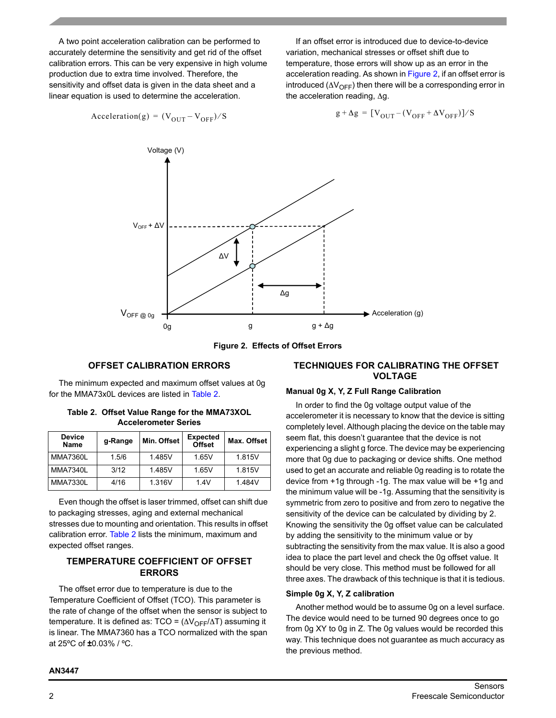A two point acceleration calibration can be performed to accurately determine the sensitivity and get rid of the offset calibration errors. This can be very expensive in high volume production due to extra time involved. Therefore, the sensitivity and offset data is given in the data sheet and a linear equation is used to determine the acceleration.

If an offset error is introduced due to device-to-device variation, mechanical stresses or offset shift due to temperature, those errors will show up as an error in the acceleration reading. As shown in [Figure](#page-1-0) 2, if an offset error is introduced ( $\Delta V_{\text{OFF}}$ ) then there will be a corresponding error in the acceleration reading, ∆g.

$$
g + \Delta g = [V_{OUT} - (V_{OFF} + \Delta V_{OFF})] / S
$$



Acceleration(g) =  $(V_{\text{OUT}} - V_{\text{OFF}})/S$ 



## **OFFSET CALIBRATION ERRORS**

<span id="page-1-0"></span>The minimum expected and maximum offset values at 0g for the MMA73x0L devices are listed in [Table](#page-1-1) 2.

<span id="page-1-1"></span>

| Table 2. Offset Value Range for the MMA73XOL |
|----------------------------------------------|
| <b>Accelerometer Series</b>                  |

| <b>Device</b><br>Name | g-Range | Min. Offset | <b>Expected</b><br><b>Offset</b> | Max. Offset |
|-----------------------|---------|-------------|----------------------------------|-------------|
| <b>MMA7360L</b>       | 1.5/6   | 1.485V      | 1.65V                            | 1.815V      |
| <b>MMA7340L</b>       | 3/12    | 1.485V      | 1.65V                            | 1.815V      |
| <b>MMA7330L</b>       | 4/16    | 1.316V      | 1.4V                             | 1.484V      |

Even though the offset is laser trimmed, offset can shift due to packaging stresses, aging and external mechanical stresses due to mounting and orientation. This results in offset calibration error. [Table](#page-1-1) 2 lists the minimum, maximum and expected offset ranges.

#### **TEMPERATURE COEFFICIENT OF OFFSET ERRORS**

The offset error due to temperature is due to the Temperature Coefficient of Offset (TCO). This parameter is the rate of change of the offset when the sensor is subject to temperature. It is defined as:  $TCO = (\Delta V_{OFF}/\Delta T)$  assuming it is linear. The MMA7360 has a TCO normalized with the span at 25ºC of **±**0.03% / ºC.

#### **TECHNIQUES FOR CALIBRATING THE OFFSET VOLTAGE**

#### **Manual 0g X, Y, Z Full Range Calibration**

In order to find the 0g voltage output value of the accelerometer it is necessary to know that the device is sitting completely level. Although placing the device on the table may seem flat, this doesn't guarantee that the device is not experiencing a slight g force. The device may be experiencing more that 0g due to packaging or device shifts. One method used to get an accurate and reliable 0g reading is to rotate the device from +1g through -1g. The max value will be +1g and the minimum value will be -1g. Assuming that the sensitivity is symmetric from zero to positive and from zero to negative the sensitivity of the device can be calculated by dividing by 2. Knowing the sensitivity the 0g offset value can be calculated by adding the sensitivity to the minimum value or by subtracting the sensitivity from the max value. It is also a good idea to place the part level and check the 0g offset value. It should be very close. This method must be followed for all three axes. The drawback of this technique is that it is tedious.

#### **Simple 0g X, Y, Z calibration**

Another method would be to assume 0g on a level surface. The device would need to be turned 90 degrees once to go from 0g XY to 0g in Z. The 0g values would be recorded this way. This technique does not guarantee as much accuracy as the previous method.

#### **AN3447**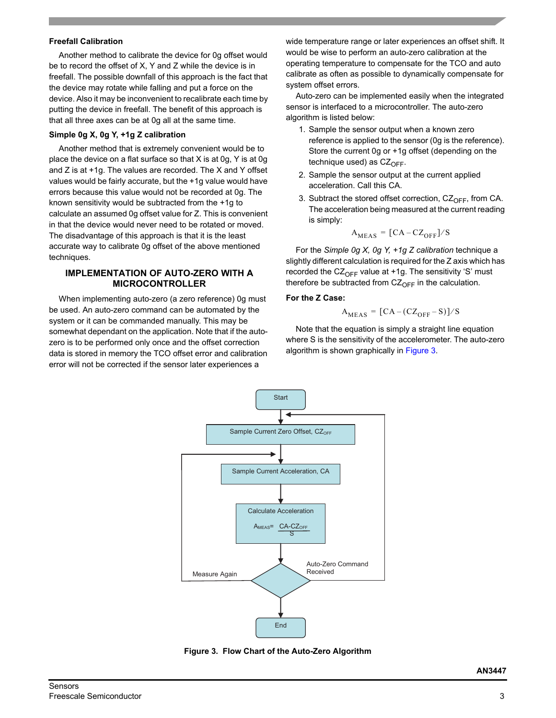#### **Freefall Calibration**

Another method to calibrate the device for 0g offset would be to record the offset of X, Y and Z while the device is in freefall. The possible downfall of this approach is the fact that the device may rotate while falling and put a force on the device. Also it may be inconvenient to recalibrate each time by putting the device in freefall. The benefit of this approach is that all three axes can be at 0g all at the same time.

#### **Simple 0g X, 0g Y, +1g Z calibration**

Another method that is extremely convenient would be to place the device on a flat surface so that X is at 0g, Y is at 0g and Z is at +1g. The values are recorded. The X and Y offset values would be fairly accurate, but the +1g value would have errors because this value would not be recorded at 0g. The known sensitivity would be subtracted from the +1g to calculate an assumed 0g offset value for Z. This is convenient in that the device would never need to be rotated or moved. The disadvantage of this approach is that it is the least accurate way to calibrate 0g offset of the above mentioned techniques.

#### **IMPLEMENTATION OF AUTO-ZERO WITH A MICROCONTROLLER**

When implementing auto-zero (a zero reference) 0g must be used. An auto-zero command can be automated by the system or it can be commanded manually. This may be somewhat dependant on the application. Note that if the autozero is to be performed only once and the offset correction data is stored in memory the TCO offset error and calibration error will not be corrected if the sensor later experiences a

wide temperature range or later experiences an offset shift. It would be wise to perform an auto-zero calibration at the operating temperature to compensate for the TCO and auto calibrate as often as possible to dynamically compensate for system offset errors.

Auto-zero can be implemented easily when the integrated sensor is interfaced to a microcontroller. The auto-zero algorithm is listed below:

- 1. Sample the sensor output when a known zero reference is applied to the sensor (0g is the reference). Store the current 0g or +1g offset (depending on the technique used) as  $CZ_{\text{OFF}}$ .
- 2. Sample the sensor output at the current applied acceleration. Call this CA.
- 3. Subtract the stored offset correction,  $CZ_{OFF}$ , from CA. The acceleration being measured at the current reading is simply:

$$
A_{MEAS} = [CA - CZ_{OFF}]/S
$$

For the *Simple 0g X, 0g Y, +1g Z calibration* technique a slightly different calculation is required for the Z axis which has recorded the  $CZ_{OFF}$  value at +1g. The sensitivity 'S' must therefore be subtracted from  $CZ_{OFF}$  in the calculation.

#### **For the Z Case:**

$$
A_{MEAS} = [CA - (CZ_{OFF} - S)]/S
$$

Note that the equation is simply a straight line equation where S is the sensitivity of the accelerometer. The auto-zero algorithm is shown graphically in [Figure](#page-2-0) 3.



<span id="page-2-0"></span>**Figure 3. Flow Chart of the Auto-Zero Algorithm**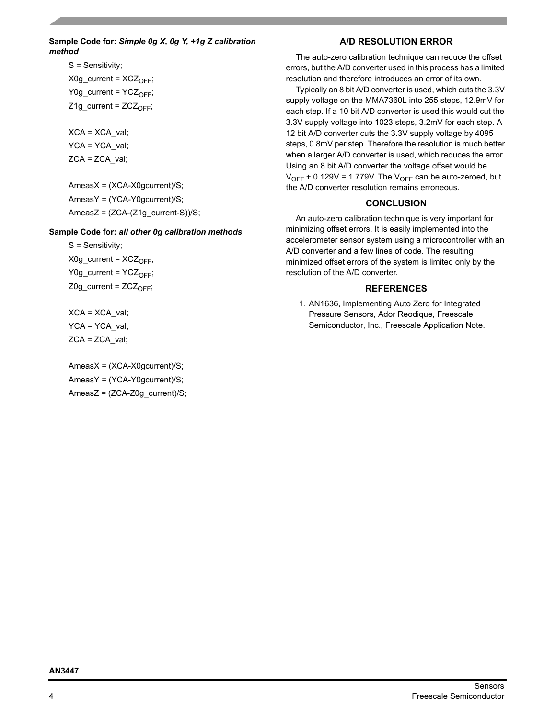#### **Sample Code for:** *Simple 0g X, 0g Y, +1g Z calibration method*

S = Sensitivity;  $X0g$  current =  $XCZ_{\text{OFF}}$ ;  $Y0g_{\text{current}} = YCZ_{\text{OFF}};$  $Z1g_{\text{current}} = ZCZ_{\text{OFF}};$ 

 $XCA = XCA$  val; YCA = YCA\_val; ZCA = ZCA\_val;

AmeasX = (XCA-X0gcurrent)/S; AmeasY = (YCA-Y0gcurrent)/S;  $AmeasZ = (ZCA-(Z1q \text{ current-S}))/S;$ 

#### **Sample Code for:** *all other 0g calibration methods*

S = Sensitivity;  $X0g$  current =  $XCZ<sub>OFF</sub>;$ Y0g\_current =  $YCZ_{OFF}$ ; Z0g current =  $ZCZ<sub>OFF</sub>;$ 

XCA = XCA\_val; YCA = YCA\_val;  $ZCA = ZCA$  val;

AmeasX = (XCA-X0gcurrent)/S; AmeasY = (YCA-Y0gcurrent)/S; AmeasZ = (ZCA-Z0g\_current)/S;

# **A/D RESOLUTION ERROR**

The auto-zero calibration technique can reduce the offset errors, but the A/D converter used in this process has a limited resolution and therefore introduces an error of its own.

Typically an 8 bit A/D converter is used, which cuts the 3.3V supply voltage on the MMA7360L into 255 steps, 12.9mV for each step. If a 10 bit A/D converter is used this would cut the 3.3V supply voltage into 1023 steps, 3.2mV for each step. A 12 bit A/D converter cuts the 3.3V supply voltage by 4095 steps, 0.8mV per step. Therefore the resolution is much better when a larger A/D converter is used, which reduces the error. Using an 8 bit A/D converter the voltage offset would be  $V_{OFF}$  + 0.129V = 1.779V. The  $V_{OFF}$  can be auto-zeroed, but the A/D converter resolution remains erroneous.

## **CONCLUSION**

An auto-zero calibration technique is very important for minimizing offset errors. It is easily implemented into the accelerometer sensor system using a microcontroller with an A/D converter and a few lines of code. The resulting minimized offset errors of the system is limited only by the resolution of the A/D converter.

#### **REFERENCES**

1. AN1636, Implementing Auto Zero for Integrated Pressure Sensors, Ador Reodique, Freescale Semiconductor, Inc., Freescale Application Note.